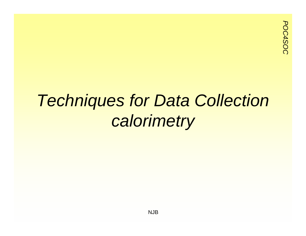#### *Techniques for Data Collection calorimetry*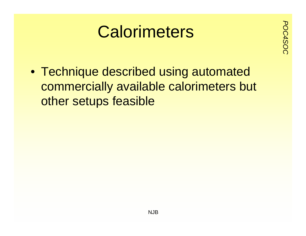# **Calorimeters**

• Technique described using automated commercially available calorimeters but other setups feasible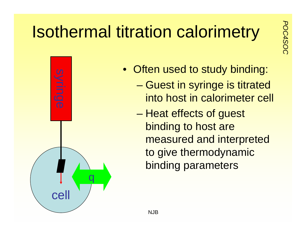### **Posthermal titration calorimetry**



- Often used to study binding:
	- – Guest in syringe is titrated into host in calorimeter cell
	- – Heat effects of guest binding to host are measured and interpreted to give thermodynamic binding parameters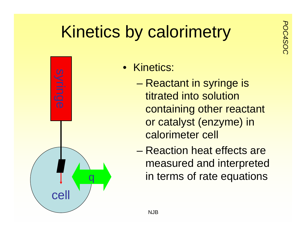## *Poulded Exercises by calorimetry*



- Kinetics:
	- – Reactant in syringe is titrated into solution containing other reactant or catalyst (enzyme) in calorimeter cell
	- Reaction heat effects are measured and interpreted in terms of rate equations

NJB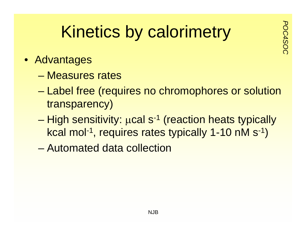### *Poulded Exercises by calorimetry*

- Advantages
	- Measures rates
	- – Label free (requires no chromophores or solution transparency)
	- High sensitivity: μcal s<sup>-1</sup> (reaction heats typically kcal mol-1, requires rates typically 1-10 nM s-1)
	- Automated data collection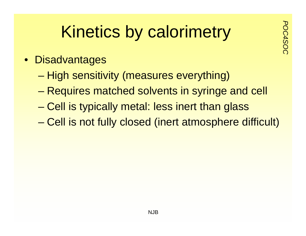## *Poulded Exercises by calorimetry*

- Disadvantages
	- High sensitivity (measures everything)
	- –Requires matched solvents in syringe and cell
	- –Cell is typically metal: less inert than glass
	- –Cell is not fully closed (inert atmosphere difficult)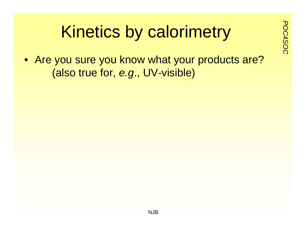# *Pounded Exercises* by calorimetry

• Are you sure you know what your products are? (also true for, *e.g*., UV-visible)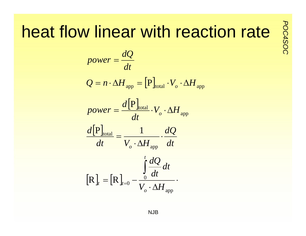# **Portion find the action rate**  $\frac{8}{8}$

$$
power = \frac{dQ}{dt}
$$
  
\n
$$
Q = n \cdot \Delta H_{app} = [P]_{total} \cdot V_o \cdot \Delta H_{app}
$$
  
\n
$$
power = \frac{d[P]_{total}}{dt} \cdot V_o \cdot \Delta H_{app}
$$
  
\n
$$
\frac{d[P]_{total}}{dt} = \frac{1}{V_o \cdot \Delta H_{app}} \cdot \frac{dQ}{dt}
$$
  
\n
$$
[R]_t = [R]_{t=0} - \frac{\int_0^t \frac{dQ}{dt}}{\int_0^t \frac{dQ}{dt}} dt
$$

NJB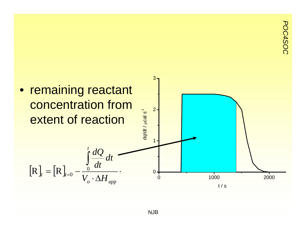*POC4SOC*